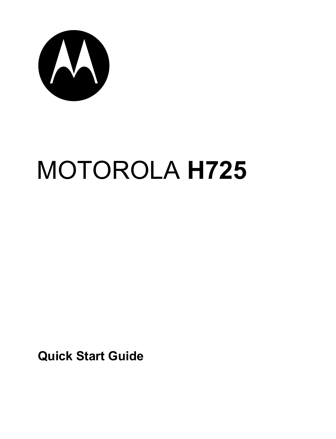

# MOTOROLA **H725**

**Quick Start Guide**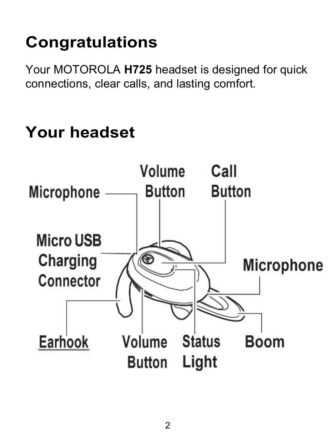# **Congratulations**

Your MOTOROLA **H725** headset is designed for quick connections, clear calls, and lasting comfort.

## **Your headset**

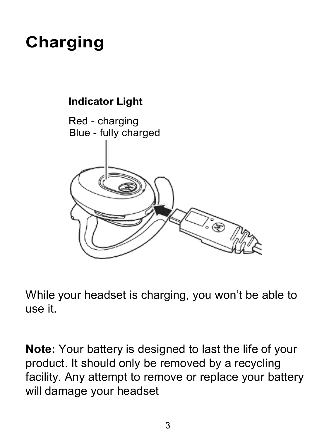# **Charging**

#### **Indicator Light**



While your headset is charging, you won't be able to use it.

**Note:** Your battery is designed to last the life of your product. It should only be removed by a recycling facility. Any attempt to remove or replace your battery will damage your headset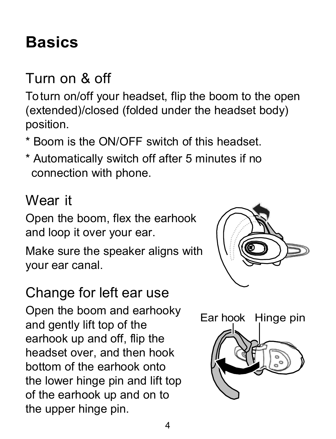## <span id="page-3-0"></span>**Basics**

### Turn on & off

Toturn on/off your headset, flip the boom to the open (extended)/closed (folded under the headset body) position.

- \* Boom is the ON/OFF switch of this headset.
- <span id="page-3-1"></span>\* Automatically switch off after 5 minutes if no connection with phone.

#### Wear it

Open the boom, flex the earhook and loop it over your ear.

Make sure the speaker aligns with your ear canal.

#### Change for left ear use

Open the boom and earhooky and gently lift top of the earhook up and off, flip the headset over, and then hook bottom of the earhook onto the lower hinge pin and lift top of the earhook up and on to the upper hinge pin.



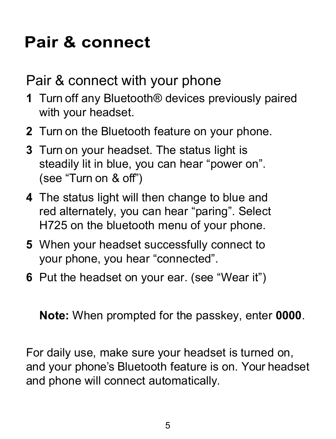## **Pair & connect**

Pair & connect with your phone

- **1** Turn off any Bluetooth® devices previously paired with your headset.
- **2** Turn on the [Bluetooth](#page-3-0) feature on your phone.
- **3** Turn on your headset. The status light is steadily lit in blue, you can hear "power on". (see "Turn on & off")
- **4** The status light will then change to blue and red alternately, you can hear "paring". Select H725 on the bluetooth menu of your phone.
- **5** When your headset successfully connect [to](#page-3-1) your phone, you hear "connected".
- **6** Put the headset on your ear. (see "Wear it")

**Note:** When prompted for the passkey, enter **0000**.

For daily use, make sure your headset is turned on, and your phone's Bluetooth feature is on. Your headset and phone will connect automatically.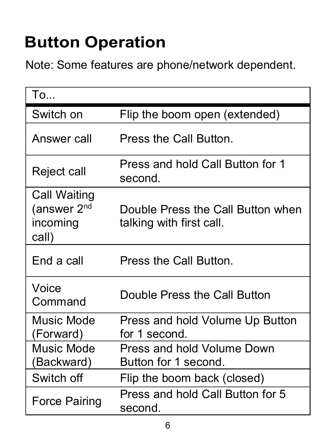## **Button Operation**

Note: Some features are phone/network dependent.

| To                                                           |                                                               |
|--------------------------------------------------------------|---------------------------------------------------------------|
| Switch on                                                    | Flip the boom open (extended)                                 |
| Answer call                                                  | Press the Call Button.                                        |
| Reject call                                                  | Press and hold Call Button for 1<br>second.                   |
| Call Waiting<br>(answer 2 <sup>nd</sup><br>incoming<br>call) | Double Press the Call Button when<br>talking with first call. |
| End a call                                                   | Press the Call Button.                                        |
| Voice<br>Command                                             | Double Press the Call Button                                  |
| Music Mode<br>(Forward)                                      | Press and hold Volume Up Button<br>for 1 second               |
| Music Mode<br>(Backward)                                     | Press and hold Volume Down<br>Button for 1 second.            |
| Switch off                                                   | Flip the boom back (closed)                                   |
| Force Pairing                                                | Press and hold Call Button for 5<br>second.                   |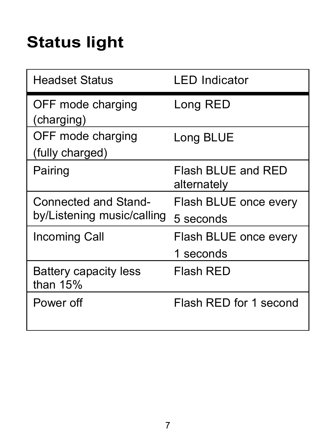# **Status light**

| <b>Headset Status</b>                              | <b>LED</b> Indicator               |  |
|----------------------------------------------------|------------------------------------|--|
| OFF mode charging<br>(charging)                    | Long RED                           |  |
| OFF mode charging<br>(fully charged)               | Long BLUE                          |  |
| Pairing                                            | Flash BLUE and RED<br>alternately  |  |
| Connected and Stand-<br>by/Listening music/calling | Flash BLUE once every<br>5 seconds |  |
| Incoming Call                                      | Flash BLUE once every<br>1 seconds |  |
| Battery capacity less<br>than $15%$                | Flash RED                          |  |
| Power off                                          | Flash RED for 1 second             |  |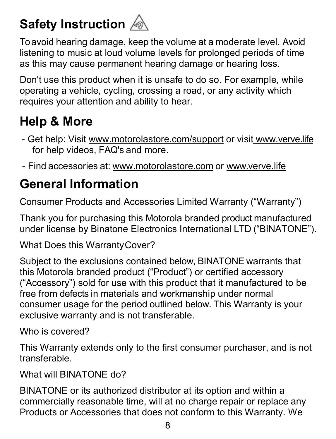### **Safety Instruction**

Toavoid hearing damage, keep the volume ata moderate level. Avoid listening to music at loud volume levels for prolonged periods of time as this may cause permanent hearing damage or hearing loss.

Don't use this product when it is unsafe to do so. For example, while operating a vehicle, cycling, [crossing](http://www.motorolastore.com/support) a road, or any activity which requires your attention and ability to hear.

#### **Help & More**

- Get help: Visit www.motorolastore.com/support or visit www.verve.life for help videos, FAQ's and more.
- Find accessories at: www.motorolastore.com or www.verve.life

#### **General Information**

Consumer Products and Accessories Limited Warranty ("Warranty")

Thank you for purchasing this Motorola branded product manufactured under license by Binatone Electronics International LTD ("BINATONE").

What Does this WarrantyCover?

Subject to the exclusions contained below, BINATONE warrants that this Motorola branded product ("Product") or certified accessory ("Accessory") sold for use with this product that it manufactured to be free from defects in materials and workmanship under normal consumer usage for the period outlined below. This Warranty is your exclusive warranty and is not transferable.

Who is covered?

This Warranty extends only to the first consumer purchaser, and is not transferable.

What will BINATONE do?

BINATONE or its authorized distributor at its option and within a commercially reasonable time, will at no charge repair or replace any Products or Accessories that does not conform to this Warranty. We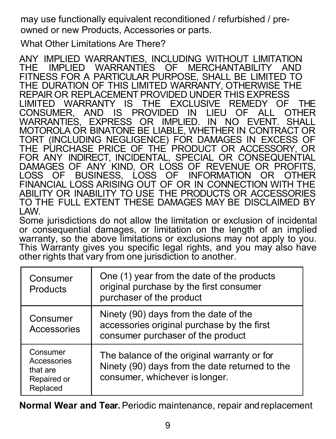may use functionally equivalent reconditioned / refurbished / preowned or new Products, Accessories or parts.

What Other Limitations Are There?

ANY IMPLIED WARRANTIES, INCLUDING WITHOUT LIMITATION THE IMPLIED WARRANTIES OF MERCHANTABILITY AND FITNESS FOR A PARTICULAR PURPOSE, SHALL BE LIMITED TO THE DURATION OF THIS LIMITED WARRANTY, OTHERWISE THE REPAIR OR REPLACEMENT PROVIDED UNDER THIS EXPRESS THE REPAIR OR REPLACEMENT PROVIDED UNDER THIS EXPRESS CONSUMER, AND IS PROVIDED IN LIEU OF ALL OTHER<br>WARRANTIES, EXPRESS OR IMPLIED. IN NO EVENT. SHALL<br>WARRANTIES, EXPRESS OR IMPLIED. IN NO EVENT. SHALL OR<br>MOTOROLA OR BINATONE BE LIABLE, WHETHER IN CONTRACT OR TORT (INCLUDING NEGLIGENCE) FOR DAMAGES IN EXCESS OF THE PURCHASE PRICE OF THE PRODUCT OR ACCESSORY, OR DAMAGES OF ANY KIND, OR LOSS OF REVENUE OR PROFITS, LOSS OF BUSINESS, LOSS OF INFORMATION OR OTHER FINANCIAL LOSS ARISING OUT OF OR IN CONNECTION WITH THE ABILITY OR INABILITY TO USE THE PRODUCTS OR ACCESSORIES TO THE FULL EXTENT THESE DAMAGES MAY BE DISCLAIMED BY

Some jurisdictions do not allow the limitation or exclusion of incidental<br>or consequential damages, or limitation on the length of an implied<br>warranty, so the above limitations or exclusions may not apply to you.<br>This Warr other rights that vary from one jurisdiction to another.

| Consumer<br>Products                                           | One (1) year from the date of the products<br>original purchase by the first consumer<br>purchaser of the product               |
|----------------------------------------------------------------|---------------------------------------------------------------------------------------------------------------------------------|
| Consumer<br>Accessories                                        | Ninety (90) days from the date of the<br>accessories original purchase by the first<br>consumer purchaser of the product        |
| Consumer<br>Accessories<br>that are<br>Repaired or<br>Replaced | The balance of the original warranty or for<br>Ninety (90) days from the date returned to the<br>consumer, whichever is longer. |

**Normal Wear and Tear.**Periodic maintenance, repair and replacement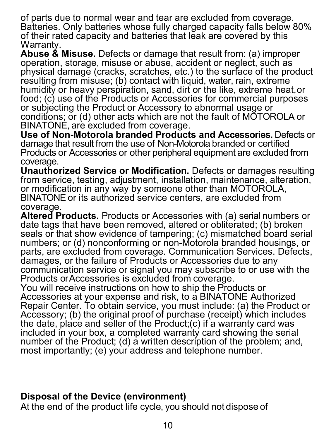of parts due to normal wear and tear are excluded from coverage.<br>Batteries. Only batteries whose fully charged capacity falls below 80%<br>of their rated capacity and batteries that leak are covered by this

Warranty.<br>**Abuse & Misuse**. Defects or damage that result from: (a) improper<br>**operation**, storage, misuse or abuse, accident or neglect, such as<br>physical damage (cracks, scratches, etc.) to the surface of the product<br>resul humidity or heavy perspiration, sand, dirt or the like, extreme heat, or food: (c) use of the Products or Accessories for commercial purposes or subjecting the Product or Accessory to abnormal usage or<br>conditions; or (d) other acts which are not the fault of MOTOROLA or<br>BINATONE, are excluded from coverage.<br>Use of Non-Motorola branded Products and Accessories. D

damage that result from the use of Non-Motorola branded or certified<br>Products or Accessories or other peripheral equipment are excluded from coverage.

**Unauthorized Service or Modification.** Defects or damages resulting or modification in any way by someone other than MOTOROLA,<br>BINATONE or its authorized service centers, are excluded from coverage.<br>Altered Products. Products or Accessories with (a) serial numbers or

date tags that have been removed, altered or obliterated; (b) broken seals or that show evidence of tampering: (c) mismatched board serial numbers; or (d) nonconforming or non-Motorola branded housings, or<br>parts, are excluded from coverage. Communication Services. Defects,<br>damages, or the failure of Products or Accessories due to any<br>communication service or

Products or Accessories is excluded from coverage.<br>
You will receive instructions on how to ship the Products or<br>
You will receive instructions on how to ship the Products of<br>
Repair Center. To obtain service, you must inc the date, place and seller of the Product;(c) if a warranty card was included in your box, a completed warranty card showing the serial number of the Product; (d) a written description of the problem; and, most importantly; (e) your address and telephone number.

#### **Disposal of the Device (environment)**

At the end of the product life cycle, you should not dispose of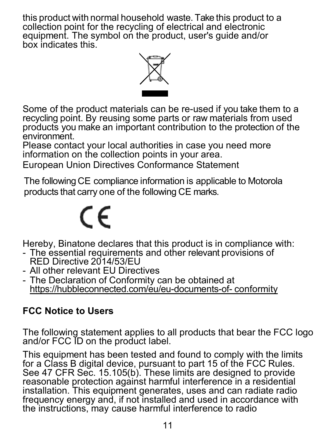this product with normal household waste. Take this product to a collection point for the recycling of electrical and electronic collection point for the recycling of electrical and electronic equipment. The symbol on the product, user's guide and/or box indicates this.



Some of the product materials can be re-used if you take them to a recycling point. By reusing some parts or raw materials from used products you make an important contribution to the protection of the

Please contact your local authorities in case you need more information on the collection points in your area.

European Union Directives Conformance Statement

The following CE compliance information is applicable to Motorola products that carry one of the following CE marks.

# $\epsilon$

- Hereby, Binatone declares that this product is in compliance with:<br>- The essential requirements and other relevant provisions of<br>RED Directive 2014/53/EU
- 
- All other relevant EU Directives<br>- The Declaration of Conformity can be obtained at https://hubbleconnected.com/eu/eu-documents-of- conformity

#### **FCC Notice to Users**

The following statement applies to all products that bear the FCC logo and/or FCC ID on the product label.

This equipment has been tested and found to comply with the limits for a Class B digital device, pursuant to part 15 of the FCC Rules. See 47 CFR Sec. 15.105(b). These limits are designed to provide reasonable protection against harmful interference in a residential installation. This equipment generates, uses and can radiate radio frequency energy and, if not installed and used in accordance with the instructions, may cause harmful interference to radio